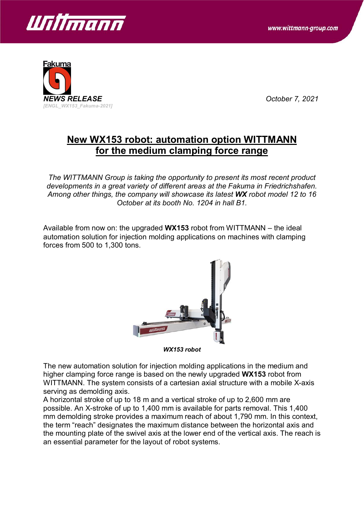



## **New WX153 robot: automation option WITTMANN for the medium clamping force range**

*The WITTMANN Group is taking the opportunity to present its most recent product developments in a great variety of different areas at the Fakuma in Friedrichshafen. Among other things, the company will showcase its latest WX robot model 12 to 16 October at its booth No. 1204 in hall B1.*

Available from now on: the upgraded **WX153** robot from WITTMANN – the ideal automation solution for injection molding applications on machines with clamping forces from 500 to 1,300 tons.



*WX153 robot*

The new automation solution for injection molding applications in the medium and higher clamping force range is based on the newly upgraded **WX153** robot from WITTMANN. The system consists of a cartesian axial structure with a mobile X-axis serving as demolding axis.

A horizontal stroke of up to 18 m and a vertical stroke of up to 2,600 mm are possible. An X-stroke of up to 1,400 mm is available for parts removal. This 1,400 mm demolding stroke provides a maximum reach of about 1,790 mm. In this context, the term "reach" designates the maximum distance between the horizontal axis and the mounting plate of the swivel axis at the lower end of the vertical axis. The reach is an essential parameter for the layout of robot systems.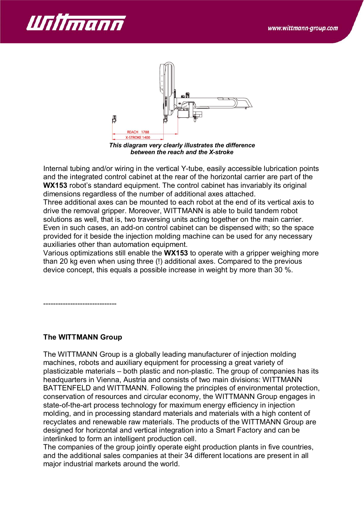



*This diagram very clearly illustrates the difference between the reach and the X-stroke*

Internal tubing and/or wiring in the vertical Y-tube, easily accessible lubrication points and the integrated control cabinet at the rear of the horizontal carrier are part of the **WX153** robot's standard equipment. The control cabinet has invariably its original dimensions regardless of the number of additional axes attached.

Three additional axes can be mounted to each robot at the end of its vertical axis to drive the removal gripper. Moreover, WITTMANN is able to build tandem robot solutions as well, that is, two traversing units acting together on the main carrier. Even in such cases, an add-on control cabinet can be dispensed with; so the space provided for it beside the injection molding machine can be used for any necessary auxiliaries other than automation equipment.

Various optimizations still enable the **WX153** to operate with a gripper weighing more than 20 kg even when using three (!) additional axes. Compared to the previous device concept, this equals a possible increase in weight by more than 30 %.

------------------------------

## **The WITTMANN Group**

The WITTMANN Group is a globally leading manufacturer of injection molding machines, robots and auxiliary equipment for processing a great variety of plasticizable materials – both plastic and non-plastic. The group of companies has its headquarters in Vienna, Austria and consists of two main divisions: WITTMANN BATTENFELD and WITTMANN. Following the principles of environmental protection, conservation of resources and circular economy, the WITTMANN Group engages in state-of-the-art process technology for maximum energy efficiency in injection molding, and in processing standard materials and materials with a high content of recyclates and renewable raw materials. The products of the WITTMANN Group are designed for horizontal and vertical integration into a Smart Factory and can be interlinked to form an intelligent production cell.

The companies of the group jointly operate eight production plants in five countries, and the additional sales companies at their 34 different locations are present in all major industrial markets around the world.